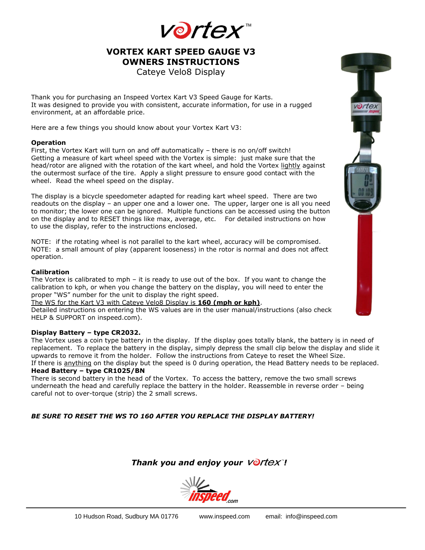

## **VORTEX KART SPEED GAUGE V3 OWNERS INSTRUCTIONS**

Cateye Velo8 Display

Thank you for purchasing an Inspeed Vortex Kart V3 Speed Gauge for Karts. It was designed to provide you with consistent, accurate information, for use in a rugged environment, at an affordable price.

Here are a few things you should know about your Vortex Kart V3:

### **Operation**

First, the Vortex Kart will turn on and off automatically – there is no on/off switch! Getting a measure of kart wheel speed with the Vortex is simple: just make sure that the head/rotor are aligned with the rotation of the kart wheel, and hold the Vortex lightly against the outermost surface of the tire. Apply a slight pressure to ensure good contact with the wheel. Read the wheel speed on the display.

The display is a bicycle speedometer adapted for reading kart wheel speed. There are two readouts on the display – an upper one and a lower one. The upper, larger one is all you need to monitor; the lower one can be ignored. Multiple functions can be accessed using the button on the display and to RESET things like max, average, etc. For detailed instructions on how to use the display, refer to the instructions enclosed.

NOTE: if the rotating wheel is not parallel to the kart wheel, accuracy will be compromised. NOTE: a small amount of play (apparent looseness) in the rotor is normal and does not affect operation.

#### **Calibration**

The Vortex is calibrated to mph – it is ready to use out of the box. If you want to change the calibration to kph, or when you change the battery on the display, you will need to enter the proper "WS" number for the unit to display the right speed.

#### The WS for the Kart V3 with Cateye Velo8 Display is **160 (mph or kph)**.

Detailed instructions on entering the WS values are in the user manual/instructions (also check HELP & SUPPORT on inspeed.com).

### **Display Battery – type CR2032.**

The Vortex uses a coin type battery in the display. If the display goes totally blank, the battery is in need of replacement. To replace the battery in the display, simply depress the small clip below the display and slide it upwards to remove it from the holder. Follow the instructions from Cateye to reset the Wheel Size.

If there is anything on the display but the speed is 0 during operation, the Head Battery needs to be replaced. **Head Battery – type CR1025/BN**

There is second battery in the head of the Vortex. To access the battery, remove the two small screws underneath the head and carefully replace the battery in the holder. Reassemble in reverse order – being careful not to over-torque (strip) the 2 small screws.

## *BE SURE TO RESET THE WS TO 160 AFTER YOU REPLACE THE DISPLAY BATTERY!*

## *Thank you and enjoy your Vortex<sup>®</sup>!*